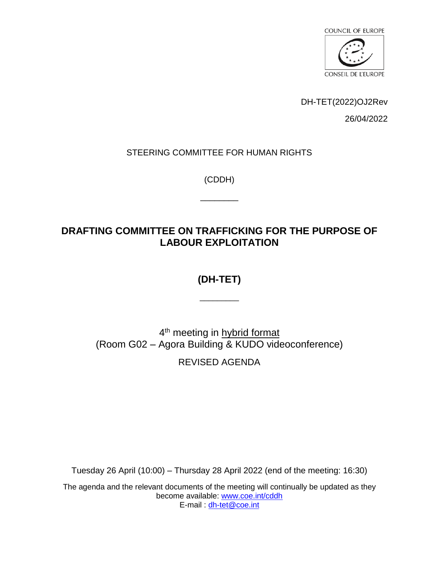

DH-TET(2022)OJ2Rev

26/04/2022

### STEERING COMMITTEE FOR HUMAN RIGHTS

(CDDH)

 $\overline{\phantom{a}}$ 

# **DRAFTING COMMITTEE ON TRAFFICKING FOR THE PURPOSE OF LABOUR EXPLOITATION**

# **(DH-TET)**

\_\_\_\_\_\_\_\_\_

4<sup>th</sup> meeting in hybrid format (Room G02 – Agora Building & KUDO videoconference)

REVISED AGENDA

Tuesday 26 April (10:00) – Thursday 28 April 2022 (end of the meeting: 16:30)

The agenda and the relevant documents of the meeting will continually be updated as they become available: [www.coe.int/cddh](https://www.coe.int/en/web/human-rights-intergovernmental-cooperation/home) E-mail : [dh-tet@coe.int](mailto:dh-tet@coe.int)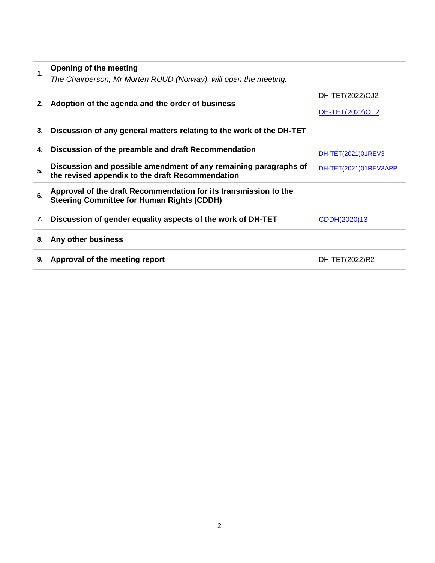## **1. Opening of the meeting** *The Chairperson, Mr Morten RUUD (Norway), will open the meeting.*  **2. Adoption of the agenda and the order of business** DH-TET(2022)OJ2 [DH-TET\(2022\)OT2](https://rm.coe.int/dh-tet-2022-ot2-en/1680a644f3) **3. Discussion of any general matters relating to the work of the DH-TET 4. Discussion of the preamble and draft Recommendation** [DH-TET\(2021\)01REV3](https://rm.coe.int/dh-tet-2021-01rev3-eng/1680a6422f) **5.** Discussion and possible amendment of any remaining paragraphs of **[DH-TET\(2021\)01REV3APP](https://rm.coe.int/dh-tet-2021-01rev3app-eng/1680a64230) the revised appendix to the draft Recommendation 6. Approval of the draft Recommendation for its transmission to the Steering Committee for Human Rights (CDDH)**  7. **Discussion of gender equality aspects of the work of DH-TET** [CDDH\(2020\)13](https://rm.coe.int/cddh-2020-13-en/1680a64208)

#### **8. Any other business**

**9. Approval of the meeting report** DH-TET(2022)R2